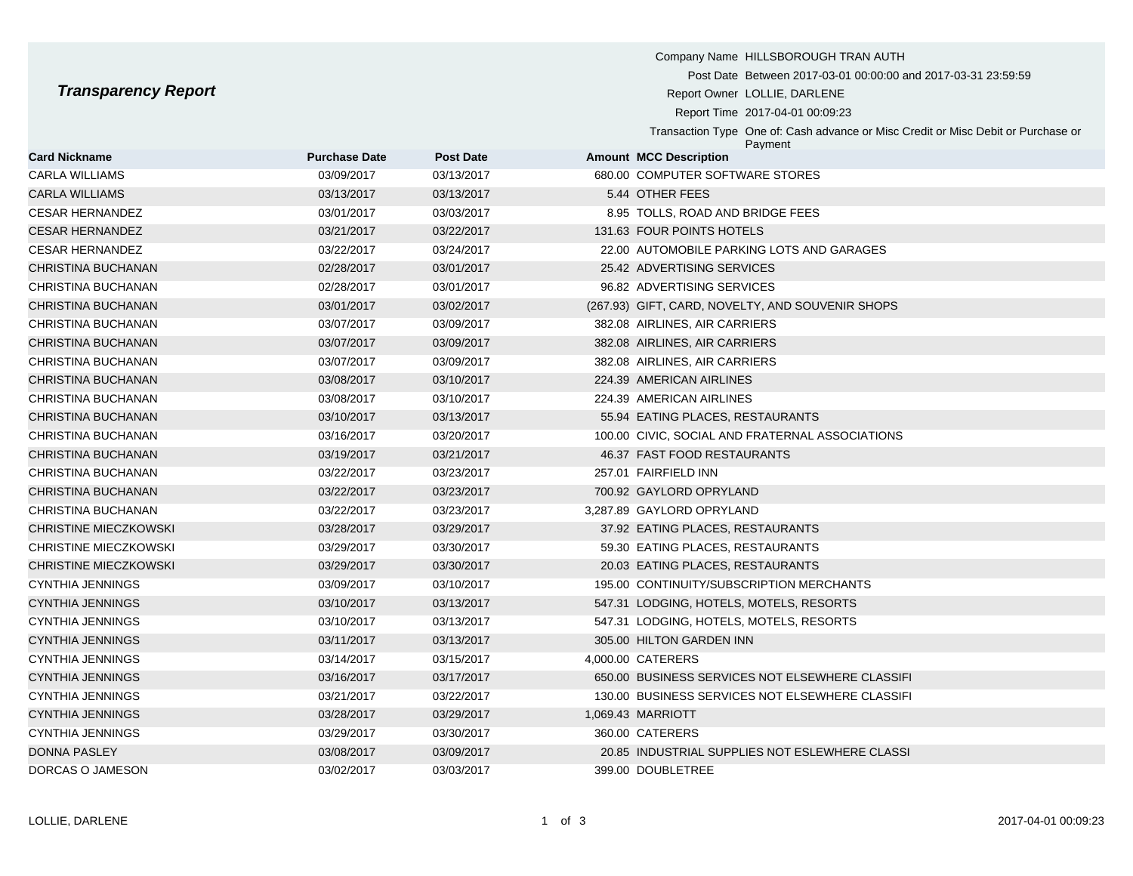Company Name HILLSBOROUGH TRAN AUTH Post Date Between 2017-03-01 00:00:00 and 2017-03-31 23:59:59 **Transparency Report Report Report Report Report Owner LOLLIE, DARLENE** Report Time 2017-04-01 00:09:23 Transaction Type One of: Cash advance or Misc Credit or Misc Debit or Purchase or Payment **Card Nickname Purchase Date Post Date Amount MCC Description** CARLA WILLIAMS 03/09/2017 03/13/2017 680.00 COMPUTER SOFTWARE STORES CARLA WILLIAMS 03/13/2017 03/13/2017 5.44 OTHER FEES CESAR HERNANDEZ 03/01/2017 03/03/2017 8.95 TOLLS, ROAD AND BRIDGE FEES CESAR HERNANDEZ 03/21/2017 03/22/2017 131.63 FOUR POINTS HOTELS

| <b>CESAR HERNANDEZ</b> | 03/22/2017 | 03/24/2017 | 22.00 AUTOMOBILE PARKING LOTS AND GARAGES        |
|------------------------|------------|------------|--------------------------------------------------|
| CHRISTINA BUCHANAN     | 02/28/2017 | 03/01/2017 | 25.42 ADVERTISING SERVICES                       |
| CHRISTINA BUCHANAN     | 02/28/2017 | 03/01/2017 | 96.82 ADVERTISING SERVICES                       |
| CHRISTINA BUCHANAN     | 03/01/2017 | 03/02/2017 | (267.93) GIFT, CARD, NOVELTY, AND SOUVENIR SHOPS |
| CHRISTINA BUCHANAN     | 03/07/2017 | 03/09/2017 | 382.08 AIRLINES, AIR CARRIERS                    |
| CHRISTINA BUCHANAN     | 03/07/2017 | 03/09/2017 | 382.08 AIRLINES, AIR CARRIERS                    |
| CHRISTINA BUCHANAN     | 03/07/2017 | 03/09/2017 | 382.08 AIRLINES, AIR CARRIERS                    |
| CHRISTINA BUCHANAN     | 03/08/2017 | 03/10/2017 | 224.39 AMERICAN AIRLINES                         |
| CHRISTINA BUCHANAN     | 03/08/2017 | 03/10/2017 | 224.39 AMERICAN AIRLINES                         |
| CHRISTINA BUCHANAN     | 03/10/2017 | 03/13/2017 | 55.94 EATING PLACES, RESTAURANTS                 |
| CHRISTINA BUCHANAN     | 03/16/2017 | 03/20/2017 | 100.00 CIVIC, SOCIAL AND FRATERNAL ASSOCIATIONS  |
| CHRISTINA BUCHANAN     | 03/19/2017 | 03/21/2017 | 46.37 FAST FOOD RESTAURANTS                      |
| CHRISTINA BUCHANAN     | 03/22/2017 | 03/23/2017 | 257.01 FAIRFIELD INN                             |
| CHRISTINA BUCHANAN     | 03/22/2017 | 03/23/2017 | 700.92 GAYLORD OPRYLAND                          |
| CHRISTINA BUCHANAN     | 03/22/2017 | 03/23/2017 | 3,287.89 GAYLORD OPRYLAND                        |
| CHRISTINE MIECZKOWSKI  | 03/28/2017 | 03/29/2017 | 37.92 EATING PLACES, RESTAURANTS                 |
| CHRISTINE MIECZKOWSKI  | 03/29/2017 | 03/30/2017 | 59.30 EATING PLACES, RESTAURANTS                 |
| CHRISTINE MIECZKOWSKI  | 03/29/2017 | 03/30/2017 | 20.03 EATING PLACES, RESTAURANTS                 |
| CYNTHIA JENNINGS       | 03/09/2017 | 03/10/2017 | 195.00 CONTINUITY/SUBSCRIPTION MERCHANTS         |
| CYNTHIA JENNINGS       | 03/10/2017 | 03/13/2017 | 547.31 LODGING, HOTELS, MOTELS, RESORTS          |
| CYNTHIA JENNINGS       | 03/10/2017 | 03/13/2017 | 547.31 LODGING, HOTELS, MOTELS, RESORTS          |
| CYNTHIA JENNINGS       | 03/11/2017 | 03/13/2017 | 305.00 HILTON GARDEN INN                         |
| CYNTHIA JENNINGS       | 03/14/2017 | 03/15/2017 | 4,000.00 CATERERS                                |
| CYNTHIA JENNINGS       | 03/16/2017 | 03/17/2017 | 650.00 BUSINESS SERVICES NOT ELSEWHERE CLASSIFI  |
| CYNTHIA JENNINGS       | 03/21/2017 | 03/22/2017 | 130.00 BUSINESS SERVICES NOT ELSEWHERE CLASSIFI  |
| CYNTHIA JENNINGS       | 03/28/2017 | 03/29/2017 | 1,069.43 MARRIOTT                                |
| CYNTHIA JENNINGS       | 03/29/2017 | 03/30/2017 | 360.00 CATERERS                                  |
| <b>DONNA PASLEY</b>    | 03/08/2017 | 03/09/2017 | 20.85 INDUSTRIAL SUPPLIES NOT ESLEWHERE CLASSI   |
| DORCAS O JAMESON       | 03/02/2017 | 03/03/2017 | 399.00 DOUBLETREE                                |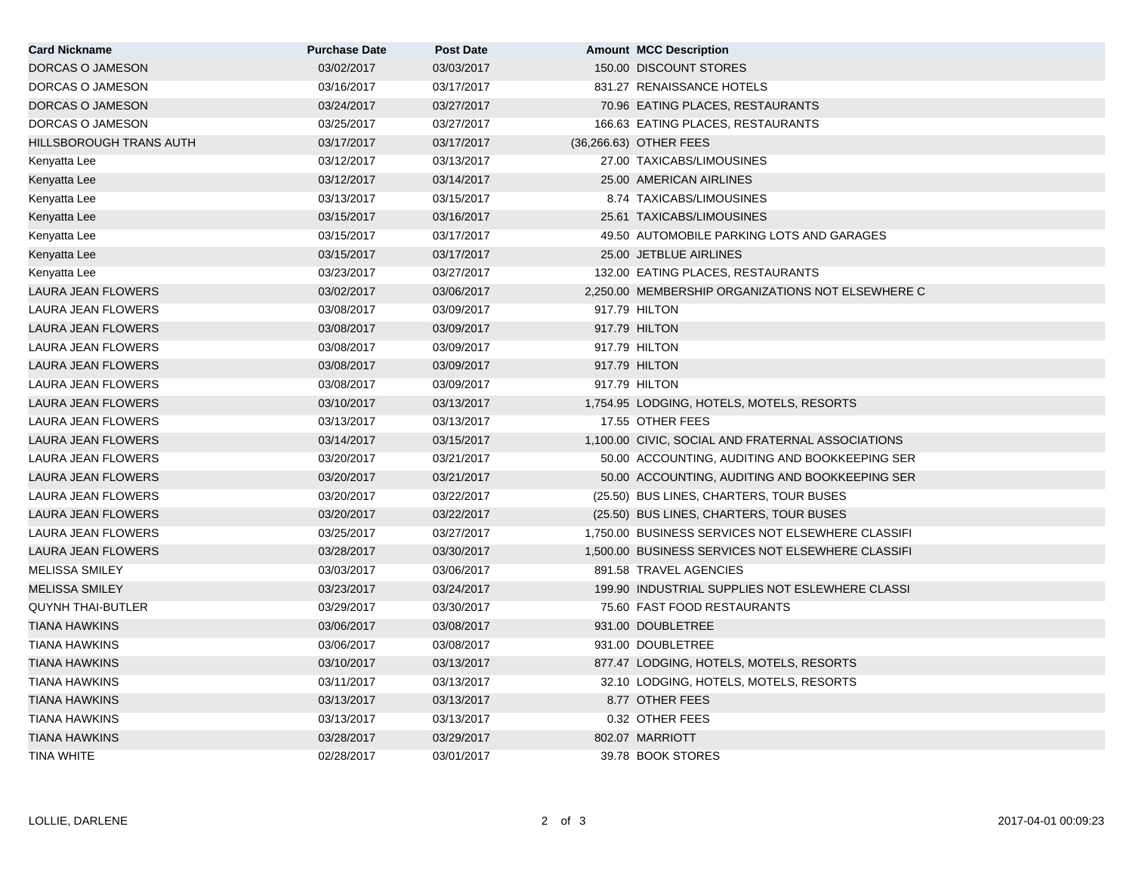| <b>Card Nickname</b>      | <b>Purchase Date</b> | <b>Post Date</b> | <b>Amount MCC Description</b>                     |
|---------------------------|----------------------|------------------|---------------------------------------------------|
| DORCAS O JAMESON          | 03/02/2017           | 03/03/2017       | 150.00 DISCOUNT STORES                            |
| DORCAS O JAMESON          | 03/16/2017           | 03/17/2017       | 831.27 RENAISSANCE HOTELS                         |
| DORCAS O JAMESON          | 03/24/2017           | 03/27/2017       | 70.96 EATING PLACES, RESTAURANTS                  |
| DORCAS O JAMESON          | 03/25/2017           | 03/27/2017       | 166.63 EATING PLACES, RESTAURANTS                 |
| HILLSBOROUGH TRANS AUTH   | 03/17/2017           | 03/17/2017       | (36,266.63) OTHER FEES                            |
| Kenyatta Lee              | 03/12/2017           | 03/13/2017       | 27.00 TAXICABS/LIMOUSINES                         |
| Kenyatta Lee              | 03/12/2017           | 03/14/2017       | 25.00 AMERICAN AIRLINES                           |
| Kenyatta Lee              | 03/13/2017           | 03/15/2017       | 8.74 TAXICABS/LIMOUSINES                          |
| Kenyatta Lee              | 03/15/2017           | 03/16/2017       | 25.61 TAXICABS/LIMOUSINES                         |
| Kenyatta Lee              | 03/15/2017           | 03/17/2017       | 49.50 AUTOMOBILE PARKING LOTS AND GARAGES         |
| Kenyatta Lee              | 03/15/2017           | 03/17/2017       | 25.00 JETBLUE AIRLINES                            |
| Kenyatta Lee              | 03/23/2017           | 03/27/2017       | 132.00 EATING PLACES, RESTAURANTS                 |
| LAURA JEAN FLOWERS        | 03/02/2017           | 03/06/2017       | 2.250.00 MEMBERSHIP ORGANIZATIONS NOT ELSEWHERE C |
| LAURA JEAN FLOWERS        | 03/08/2017           | 03/09/2017       | 917.79 HILTON                                     |
| LAURA JEAN FLOWERS        | 03/08/2017           | 03/09/2017       | 917.79 HILTON                                     |
| LAURA JEAN FLOWERS        | 03/08/2017           | 03/09/2017       | 917.79 HILTON                                     |
| <b>LAURA JEAN FLOWERS</b> | 03/08/2017           | 03/09/2017       | 917.79 HILTON                                     |
| LAURA JEAN FLOWERS        | 03/08/2017           | 03/09/2017       | 917.79 HILTON                                     |
| LAURA JEAN FLOWERS        | 03/10/2017           | 03/13/2017       | 1,754.95 LODGING, HOTELS, MOTELS, RESORTS         |
| LAURA JEAN FLOWERS        | 03/13/2017           | 03/13/2017       | 17.55 OTHER FEES                                  |
| LAURA JEAN FLOWERS        | 03/14/2017           | 03/15/2017       | 1,100.00 CIVIC, SOCIAL AND FRATERNAL ASSOCIATIONS |
| LAURA JEAN FLOWERS        | 03/20/2017           | 03/21/2017       | 50.00 ACCOUNTING, AUDITING AND BOOKKEEPING SER    |
| <b>LAURA JEAN FLOWERS</b> | 03/20/2017           | 03/21/2017       | 50.00 ACCOUNTING, AUDITING AND BOOKKEEPING SER    |
| LAURA JEAN FLOWERS        | 03/20/2017           | 03/22/2017       | (25.50) BUS LINES, CHARTERS, TOUR BUSES           |
| LAURA JEAN FLOWERS        | 03/20/2017           | 03/22/2017       | (25.50) BUS LINES, CHARTERS, TOUR BUSES           |
| LAURA JEAN FLOWERS        | 03/25/2017           | 03/27/2017       | 1,750.00 BUSINESS SERVICES NOT ELSEWHERE CLASSIFI |
| LAURA JEAN FLOWERS        | 03/28/2017           | 03/30/2017       | 1,500.00 BUSINESS SERVICES NOT ELSEWHERE CLASSIFI |
| <b>MELISSA SMILEY</b>     | 03/03/2017           | 03/06/2017       | 891.58 TRAVEL AGENCIES                            |
| <b>MELISSA SMILEY</b>     | 03/23/2017           | 03/24/2017       | 199.90 INDUSTRIAL SUPPLIES NOT ESLEWHERE CLASSI   |
| <b>QUYNH THAI-BUTLER</b>  | 03/29/2017           | 03/30/2017       | 75.60 FAST FOOD RESTAURANTS                       |
| <b>TIANA HAWKINS</b>      | 03/06/2017           | 03/08/2017       | 931.00 DOUBLETREE                                 |
| <b>TIANA HAWKINS</b>      | 03/06/2017           | 03/08/2017       | 931.00 DOUBLETREE                                 |
| <b>TIANA HAWKINS</b>      | 03/10/2017           | 03/13/2017       | 877.47 LODGING, HOTELS, MOTELS, RESORTS           |
| <b>TIANA HAWKINS</b>      | 03/11/2017           | 03/13/2017       | 32.10 LODGING, HOTELS, MOTELS, RESORTS            |
| <b>TIANA HAWKINS</b>      | 03/13/2017           | 03/13/2017       | 8.77 OTHER FEES                                   |
| <b>TIANA HAWKINS</b>      | 03/13/2017           | 03/13/2017       | 0.32 OTHER FEES                                   |
| <b>TIANA HAWKINS</b>      | 03/28/2017           | 03/29/2017       | 802.07 MARRIOTT                                   |
| <b>TINA WHITE</b>         | 02/28/2017           | 03/01/2017       | 39.78 BOOK STORES                                 |